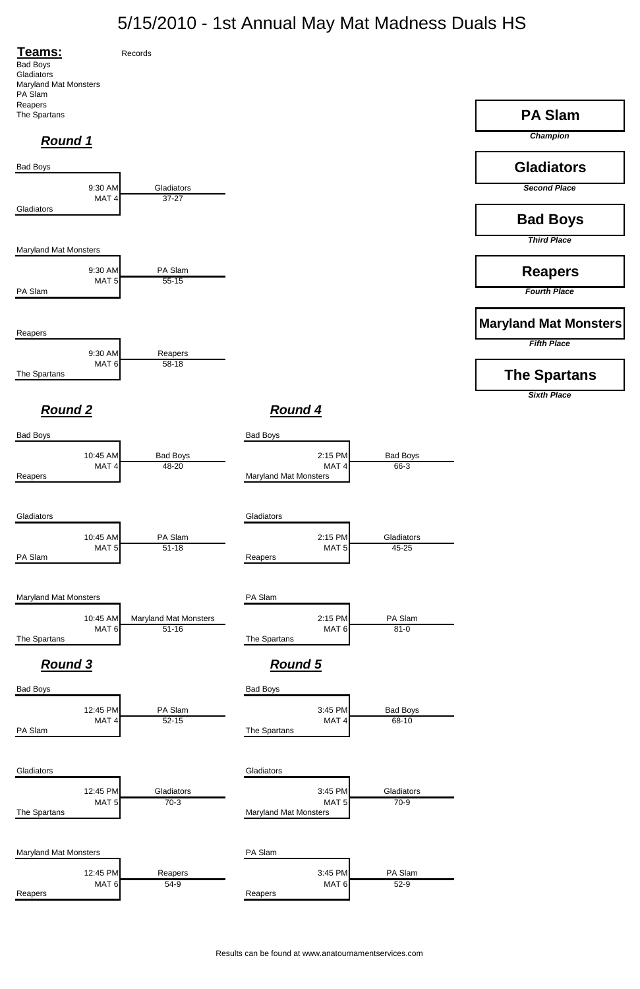## 5/15/2010 - 1st Annual May Mat Madness Duals HS

Results can be found at www.anatournamentservices.com





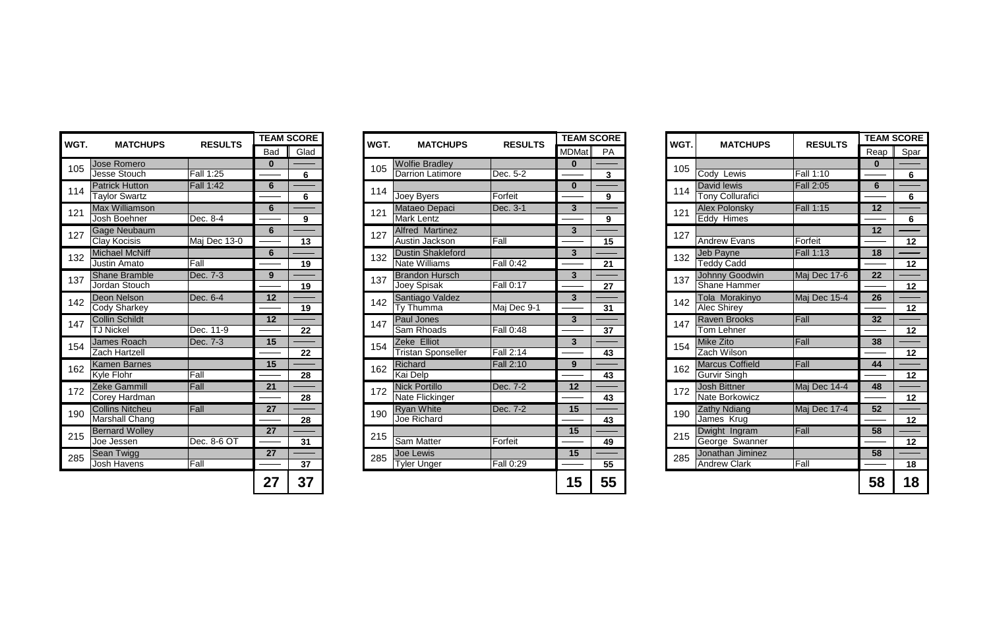| <b>MATCHUPS</b><br><b>RESULTS</b> |                  | <b>TEAM SCORE</b> | WGT. | <b>MATCHUPS</b> | <b>RESULTS</b>            | <b>TEAM SCORE</b> |              | WGT. | <b>MATCHUPS</b> | <b>RESULTS</b>          | <b>TEAM SCORI</b> |      |                |
|-----------------------------------|------------------|-------------------|------|-----------------|---------------------------|-------------------|--------------|------|-----------------|-------------------------|-------------------|------|----------------|
|                                   |                  | <b>Bad</b>        | Glad |                 |                           |                   | <b>MDMat</b> | PA   |                 |                         |                   | Reap | Spar           |
| <b>Jose Romero</b>                |                  | O                 |      |                 | <b>Wolfie Bradley</b>     |                   | $\Omega$     |      |                 |                         |                   | 0    |                |
| <b>Jesse Stouch</b>               | <b>Fall 1:25</b> |                   | 6    | 105             | <b>Darrion Latimore</b>   | Dec. 5-2          |              | 3    | 105             | Cody Lewis              | <b>Fall 1:10</b>  |      | 6              |
| <b>Patrick Hutton</b>             | Fall 1:42        | $6\phantom{1}$    |      | 114             |                           |                   | $\mathbf 0$  |      | 114             | David lewis             | <b>Fall 2:05</b>  | 6    |                |
| <b>Taylor Swartz</b>              |                  |                   | 6    |                 | Joey Byers                | Forfeit           |              | 9    |                 | <b>Tony Collurafici</b> |                   |      | 6              |
| <b>Max Williamson</b>             |                  | 6                 |      | 121             | Mataeo Depaci             | Dec. 3-1          | 3            |      | 121             | <b>Alex Polonsky</b>    | <b>Fall 1:15</b>  | 12   |                |
| Josh Boehner                      | Dec. 8-4         |                   | 9    |                 | Mark Lentz                |                   |              | 9    |                 | Eddy Himes              |                   |      | $6\phantom{1}$ |
| <b>Gage Neubaum</b>               |                  | 6                 |      | 127             | <b>Alfred Martinez</b>    |                   | $\mathbf{3}$ |      | 127             |                         |                   | 12   |                |
| Clay Kocisis                      | Maj Dec 13-0     |                   | 13   |                 | Austin Jackson            | Fall              |              | 15   |                 | <b>Andrew Evans</b>     | Forfeit           |      | 12             |
| <b>Michael McNiff</b>             |                  | 6                 |      | 132             | <b>Dustin Shakleford</b>  |                   | 3            |      | 132             | Jeb Payne               | <b>Fall 1:13</b>  | 18   |                |
| Justin Amato                      | Fall             |                   | 19   |                 | <b>Nate Williams</b>      | <b>Fall 0:42</b>  |              | 21   |                 | <b>Teddy Cadd</b>       |                   |      | 12             |
| <b>Shane Bramble</b>              | Dec. 7-3         | 9                 |      | 137             | <b>Brandon Hursch</b>     |                   | 3            |      | 137             | Johnny Goodwin          | Maj Dec 17-6      | 22   |                |
| Jordan Stouch                     |                  |                   | 19   |                 | Joey Spisak               | <b>Fall 0:17</b>  |              | 27   |                 | <b>Shane Hammer</b>     |                   |      | 12             |
| Deon Nelson                       | Dec. 6-4         | 12                |      | 142             | Santiago Valdez           |                   | $\mathbf{3}$ |      | 142             | Tola Morakinyo          | Maj Dec 15-4      | 26   |                |
| <b>Cody Sharkey</b>               |                  |                   | 19   |                 | Ty Thumma                 | Maj Dec 9-1       |              | 31   |                 | <b>Alec Shirev</b>      |                   |      | 12             |
| <b>Collin Schildt</b>             |                  | 12                |      | 147             | Paul Jones                |                   | $\mathbf{3}$ |      | 147             | <b>Raven Brooks</b>     | Fall              | 32   |                |
| <b>TJ Nickel</b>                  | Dec. 11-9        |                   | 22   |                 | Sam Rhoads                | <b>Fall 0:48</b>  |              | 37   |                 | Tom Lehner              |                   |      | 12             |
| <b>James Roach</b>                | Dec. 7-3         | 15                |      | 154             | Zeke Elliot               |                   | 3            |      | 154             | Mike Zito               | Fall              | 38   |                |
| Zach Hartzell                     |                  |                   | 22   |                 | <b>Tristan Sponseller</b> | <b>Fall 2:14</b>  |              | 43   |                 | Zach Wilson             |                   |      | 12             |
| <b>Kamen Barnes</b>               |                  | 15                |      | 162             | Richard                   | <b>Fall 2:10</b>  | 9            |      | 162             | <b>Marcus Coffield</b>  | Fall              | 44   |                |
| <b>Kyle Flohr</b>                 | Fall             |                   | 28   |                 | Kai Delp                  |                   |              | 43   |                 | <b>Gurvir Singh</b>     |                   |      | 12             |
| Zeke Gammill                      | Fall             | 21                |      | 172             | <b>Nick Portillo</b>      | Dec. 7-2          | 12           |      | 172             | <b>Josh Bittner</b>     | Maj Dec 14-4      | 48   |                |
| Corey Hardman                     |                  |                   | 28   |                 | Nate Flickinger           |                   |              | 43   |                 | Nate Borkowicz          |                   |      | 12             |
| <b>Collins Nitcheu</b>            | Fall             | 27                |      | 190             | <b>Ryan White</b>         | Dec. 7-2          | 15           |      | 190             | <b>Zathy Ndiang</b>     | Maj Dec 17-4      | 52   |                |
| Marshall Chang                    |                  |                   | 28   |                 | <b>Joe Richard</b>        |                   |              | 43   |                 | James Krug              |                   |      | 12             |
| <b>Bernard Wolley</b>             |                  | 27                |      | 215             |                           |                   | 15           |      | 215             | Dwight Ingram           | Fall              | 58   |                |
| Joe Jessen                        | Dec. 8-6 OT      |                   | 31   |                 | Sam Matter                | Forfeit           |              | 49   |                 | George Swanner          |                   |      | 12             |
| <b>Sean Twigg</b>                 |                  | 27                |      | 285             | <b>Joe Lewis</b>          |                   | 15           |      | 285             | Jonathan Jiminez        |                   | 58   |                |
| <b>Josh Havens</b>                | Fall             |                   | 37   |                 | <b>Tyler Unger</b>        | <b>Fall 0:29</b>  |              | 55   |                 | <b>Andrew Clark</b>     | Fall              |      | 18             |
|                                   |                  | 27                | 37   |                 |                           |                   | 15           | 55   |                 |                         |                   | 58   | 18             |

| WGT. | <b>MATCHUPS</b>                              | <b>RESULTS</b>   |                 | <b>TEAM SCORE</b> | WGT. | <b>MATCHUPS</b>                                  | <b>RESL</b>      |
|------|----------------------------------------------|------------------|-----------------|-------------------|------|--------------------------------------------------|------------------|
|      |                                              |                  | Bad             | Glad              |      |                                                  |                  |
| 105  | Jose Romero                                  |                  | $\mathbf{0}$    |                   | 105  | <b>Wolfie Bradley</b>                            |                  |
|      | Jesse Stouch                                 | <b>Fall 1:25</b> |                 | $6\phantom{1}$    |      | <b>Darrion Latimore</b>                          | Dec. 5-2         |
| 114  | <b>Patrick Hutton</b>                        | <b>Fall 1:42</b> | $6\phantom{1}$  |                   | 114  |                                                  |                  |
|      | <b>Taylor Swartz</b>                         |                  |                 | $6\phantom{1}$    |      | Joey Byers                                       | Forfeit          |
| 121  | <b>Max Williamson</b>                        |                  | $6\phantom{1}6$ |                   | 121  | Mataeo Depaci                                    | Dec. 3-1         |
|      | Josh Boehner                                 | Dec. 8-4         |                 | 9                 |      | <b>Mark Lentz</b>                                |                  |
| 127  | <b>Gage Neubaum</b>                          |                  | $6\phantom{1}$  |                   | 127  | <b>Alfred Martinez</b><br>Austin Jackson         | Fall             |
|      | <b>Clay Kocisis</b>                          | Maj Dec 13-0     |                 | 13                |      |                                                  |                  |
| 132  | <b>Michael McNiff</b><br><b>Justin Amato</b> | Fall             | $6\phantom{1}$  | 19                | 132  | <b>Dustin Shakleford</b><br><b>Nate Williams</b> | <b>Fall 0:42</b> |
|      | <b>Shane Bramble</b>                         | Dec. 7-3         | $\overline{9}$  |                   |      | <b>Brandon Hursch</b>                            |                  |
| 137  | Jordan Stouch                                |                  |                 | 19                | 137  | <b>Joey Spisak</b>                               | Fall 0:17        |
|      | Deon Nelson                                  | Dec. 6-4         | $\overline{12}$ |                   |      | Santiago Valdez                                  |                  |
| 142  | <b>Cody Sharkey</b>                          |                  |                 | 19                | 142  | <b>Ty Thumma</b>                                 | Maj Dec          |
|      | <b>Collin Schildt</b>                        |                  | 12              |                   |      | <b>Paul Jones</b>                                |                  |
| 147  | <b>TJ Nickel</b>                             | Dec. 11-9        |                 | 22                | 147  | Sam Rhoads                                       | <b>Fall 0:48</b> |
|      | James Roach                                  | Dec. 7-3         | 15              |                   |      | Zeke Elliot                                      |                  |
| 154  | <b>Zach Hartzell</b>                         |                  |                 | 22                | 154  | <b>Tristan Sponseller</b>                        | <b>Fall 2:14</b> |
| 162  | <b>Kamen Barnes</b>                          |                  | 15              |                   | 162  | Richard                                          | <b>Fall 2:10</b> |
|      | <b>Kyle Flohr</b>                            | Fall             |                 | 28                |      | Kai Delp                                         |                  |
| 172  | <b>Zeke Gammill</b>                          | Fall             | 21              |                   | 172  | <b>Nick Portillo</b>                             | Dec. 7-2         |
|      | <b>Corey Hardman</b>                         |                  |                 | 28                |      | Nate Flickinger                                  |                  |
| 190  | <b>Collins Nitcheu</b>                       | Fall             | 27              |                   | 190  | <b>Ryan White</b>                                | Dec. 7-2         |
|      | <b>Marshall Chang</b>                        |                  |                 | 28                |      | <b>Joe Richard</b>                               |                  |
| 215  | <b>Bernard Wolley</b>                        |                  | 27              |                   | 215  |                                                  |                  |
|      | Joe Jessen                                   | Dec. 8-6 OT      |                 | 31                |      | <b>Sam Matter</b>                                | Forfeit          |
| 285  | <b>Sean Twigg</b>                            |                  | 27              |                   | 285  | <b>Joe Lewis</b>                                 |                  |
|      | Josh Havens                                  | Fall             |                 | 37                |      | <b>Tyler Unger</b>                               | <b>Fall 0:29</b> |
|      |                                              |                  | 27              | 37                |      |                                                  |                  |

|                  | <b>EAM SCORE</b> | WGT. | <b>MATCHUPS</b>           | <b>RESULTS</b>   |                         | <b>TEAM SCORE</b> | WGT. |     | <b>MATCHUPS</b>         | <b>RESULTS</b>   |          | <b>TEAM SCORE</b> |
|------------------|------------------|------|---------------------------|------------------|-------------------------|-------------------|------|-----|-------------------------|------------------|----------|-------------------|
| <b>Bad</b>       | Glad             |      |                           |                  | MDMat                   | PA                |      |     |                         |                  | Reap     | Spar              |
| $\mathbf{0}$     |                  | 105  | <b>Wolfie Bradley</b>     |                  |                         |                   |      |     |                         |                  | $\bf{0}$ |                   |
|                  | $6\phantom{1}6$  |      | <b>Darrion Latimore</b>   | Dec. 5-2         |                         | $\mathbf{3}$      | 105  |     | Cody Lewis              | <b>Fall 1:10</b> |          | 6                 |
| $6\phantom{1}6$  |                  | 114  |                           |                  | $\mathbf{0}$            |                   | 114  |     | David lewis             | <b>Fall 2:05</b> | 6        |                   |
|                  | 6                |      | Joey Byers                | Forfeit          |                         | 9                 |      |     | <b>Tony Collurafici</b> |                  |          | 6                 |
| $6\phantom{1}6$  |                  | 121  | Mataeo Depaci             | Dec. 3-1         | 3 <sup>1</sup>          |                   | 121  |     | <b>Alex Polonsky</b>    | <b>Fall 1:15</b> | 12       |                   |
|                  | 9                |      | <b>Mark Lentz</b>         |                  |                         | 9                 |      |     | Eddy Himes              |                  |          | 6                 |
| $\boldsymbol{6}$ |                  | 127  | <b>Alfred Martinez</b>    |                  | $3\phantom{a}$          |                   | 127  |     |                         |                  | 12       |                   |
|                  | 13               |      | Austin Jackson            | Fall             |                         | 15                |      |     | <b>Andrew Evans</b>     | Forfeit          |          | 12                |
| $6\phantom{1}$   |                  | 132  | <b>Dustin Shakleford</b>  |                  | $3\phantom{a}$          |                   | 132  |     | Jeb Payne               | Fall 1:13        | 18       |                   |
|                  | 19               |      | <b>Nate Williams</b>      | <b>Fall 0:42</b> |                         | 21                |      |     | <b>Teddy Cadd</b>       |                  |          | 12                |
| $\overline{9}$   |                  | 137  | <b>Brandon Hursch</b>     |                  | $\overline{\mathbf{3}}$ |                   | 137  |     | Johnny Goodwin          | Maj Dec 17-6     | 22       |                   |
|                  | 19               |      | Joey Spisak               | <b>Fall 0:17</b> |                         | 27                |      |     | <b>Shane Hammer</b>     |                  |          | 12                |
| 12               |                  | 142  | Santiago Valdez           |                  | 3 <sup>5</sup>          |                   |      |     | Tola Morakinyo          | Maj Dec 15-4     | 26       |                   |
|                  | 19               |      | Ty Thumma                 | Maj Dec 9-1      |                         | 31                |      | 142 | <b>Alec Shirey</b>      |                  |          | 12                |
| 12               |                  | 147  | Paul Jones                |                  | $\mathbf{3}$            |                   | 147  |     | <b>Raven Brooks</b>     | Fall             | 32       |                   |
|                  | 22               |      | Sam Rhoads                | Fall 0:48        |                         | 37                |      |     | <b>Tom Lehner</b>       |                  |          | 12                |
| 15               |                  | 154  | Zeke Elliot               |                  | 3 <sup>5</sup>          |                   | 154  |     | <b>Mike Zito</b>        | Fall             | 38       |                   |
|                  | 22               |      | <b>Tristan Sponseller</b> | <b>Fall 2:14</b> |                         | 43                |      |     | Zach Wilson             |                  |          | 12                |
| 15               |                  | 162  | Richard                   | <b>Fall 2:10</b> | 9                       |                   | 162  |     | <b>Marcus Coffield</b>  | Fall             | 44       |                   |
|                  | 28               |      | <b>Kai Delp</b>           |                  |                         | 43                |      |     | <b>Gurvir Singh</b>     |                  |          | 12                |
| $\overline{21}$  |                  | 172  | <b>Nick Portillo</b>      | Dec. 7-2         | $\overline{12}$         |                   | 172  |     | <b>Josh Bittner</b>     | Maj Dec 14-4     | 48       |                   |
|                  | 28               |      | Nate Flickinger           |                  |                         | 43                |      |     | Nate Borkowicz          |                  |          | 12                |
| $\overline{27}$  |                  | 190  | <b>Ryan White</b>         | Dec. 7-2         | 15                      |                   | 190  |     | <b>Zathy Ndiang</b>     | Maj Dec 17-4     | 52       |                   |
|                  | 28               |      | Joe Richard               |                  |                         | 43                |      |     | James Krug              |                  |          | 12                |
| 27               |                  | 215  |                           |                  | 15                      |                   | 215  |     | Dwight Ingram           | Fall             | 58       |                   |
|                  | 31               |      | <b>Sam Matter</b>         | Forfeit          |                         | 49                |      |     | George Swanner          |                  |          | 12                |
| 27               |                  | 285  | Joe Lewis                 |                  | 15                      |                   | 285  |     | Jonathan Jiminez        |                  | 58       |                   |
|                  | 37               |      | <b>Tyler Unger</b>        | <b>Fall 0:29</b> |                         | 55                |      |     | <b>Andrew Clark</b>     | Fall             |          | 18                |
| 27               | 37               |      |                           |                  | 15                      | 55                |      |     |                         |                  | 58       | 18                |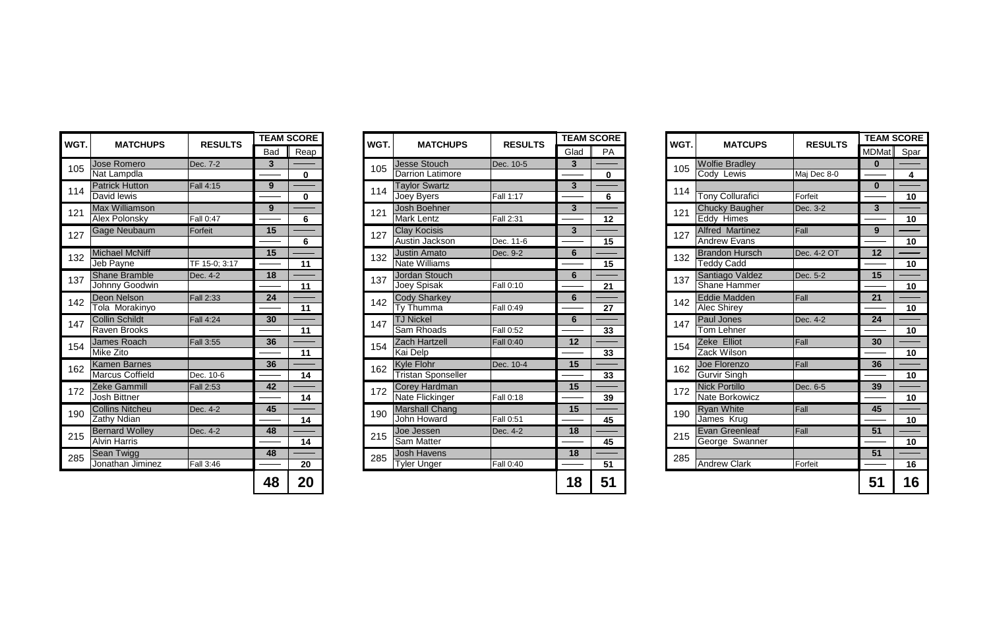|                          | <b>EAM SCORE</b> | WGT. | <b>MATCHUPS</b>           | <b>RESULTS</b>   |                | <b>TEAM SCORE</b> | WGT. | <b>MATCUPS</b>          | <b>RESULTS</b> | <b>TEAM SCORE</b> |                 |
|--------------------------|------------------|------|---------------------------|------------------|----------------|-------------------|------|-------------------------|----------------|-------------------|-----------------|
| Bad                      | Reap             |      |                           |                  | Glad           | PA                |      |                         |                | <b>MDMat</b>      | Spar            |
| $3\phantom{a}$           |                  | 105  | <b>Jesse Stouch</b>       | Dec. 10-5        | 3              |                   | 105  | <b>Wolfie Bradley</b>   |                | $\bf{0}$          |                 |
|                          | $\mathbf 0$      |      | <b>Darrion Latimore</b>   |                  |                | $\bf{0}$          |      | Cody Lewis              | Maj Dec 8-0    |                   | 4               |
| 9                        |                  | 114  | <b>Taylor Swartz</b>      |                  | 3 <sup>5</sup> |                   | 114  |                         |                | $\bf{0}$          |                 |
|                          | $\mathbf 0$      |      | Joey Byers                | <b>Fall 1:17</b> |                | 6                 |      | <b>Tony Collurafici</b> | Forfeit        |                   | 10              |
| 9                        |                  | 121  | Josh Boehner              |                  | $3\phantom{a}$ |                   | 121  | <b>Chucky Baugher</b>   | Dec. 3-2       | $\mathbf{3}$      |                 |
|                          | 6                |      | <b>Mark Lentz</b>         | <b>Fall 2:31</b> |                | 12                |      | Eddy Himes              |                |                   | 10 <sub>1</sub> |
| 15                       |                  | 127  | <b>Clay Kocisis</b>       |                  | $3\phantom{a}$ |                   | 127  | <b>Alfred Martinez</b>  | Fall           | 9                 |                 |
|                          | $6\phantom{1}$   |      | <b>Austin Jackson</b>     | Dec. 11-6        |                | 15                |      | <b>Andrew Evans</b>     |                |                   | 10              |
| $\overline{\mathbf{15}}$ |                  | 132  | <b>Justin Amato</b>       | Dec. 9-2         | $6\phantom{1}$ |                   | 132  | <b>Brandon Hursch</b>   | Dec. 4-2 OT    | 12                |                 |
|                          | 11               |      | <b>Nate Williams</b>      |                  |                | 15                |      | <b>Teddy Cadd</b>       |                |                   | 10 <sup>°</sup> |
| $\overline{18}$          |                  | 137  | <b>Jordan Stouch</b>      |                  | $6\phantom{1}$ |                   | 137  | Santiago Valdez         | Dec. 5-2       | 15                |                 |
|                          | 11               |      | Joey Spisak               | Fall 0:10        |                | 21                |      | <b>Shane Hammer</b>     |                |                   | 10              |
| 24                       |                  | 142  | <b>Cody Sharkey</b>       |                  | 6              |                   | 142  | <b>Eddie Madden</b>     | Fall           | 21                |                 |
|                          | 11               |      | Ty Thumma                 | <b>Fall 0:49</b> |                | 27                |      | <b>Alec Shirey</b>      |                |                   | 10              |
| 30                       |                  | 147  | <b>TJ Nickel</b>          |                  | $6\phantom{1}$ |                   | 147  | <b>Paul Jones</b>       | Dec. 4-2       | 24                |                 |
|                          | 11               |      | Sam Rhoads                | <b>Fall 0:52</b> |                | 33                |      | <b>Tom Lehner</b>       |                |                   | 10 <sup>°</sup> |
| 36                       |                  | 154  | <b>Zach Hartzell</b>      | Fall 0:40        | 12             |                   | 154  | Zeke Elliot             | Fall           | 30                |                 |
|                          | 11               |      | Kai Delp                  |                  |                | 33                |      | Zack Wilson             |                |                   | 10              |
| 36                       |                  | 162  | <b>Kyle Flohr</b>         | Dec. 10-4        | 15             |                   | 162  | Joe Florenzo            | Fall           | 36                |                 |
|                          | 14               |      | <b>Tristan Sponseller</b> |                  |                | 33                |      | <b>Gurvir Singh</b>     |                |                   | 10 <sub>1</sub> |
| 42                       |                  | 172  | <b>Corey Hardman</b>      |                  | 15             |                   | 172  | <b>Nick Portillo</b>    | Dec. 6-5       | 39                |                 |
|                          | 14               |      | Nate Flickinger           | <b>Fall 0:18</b> |                | 39                |      | Nate Borkowicz          |                |                   | 10              |
| 45                       |                  | 190  | <b>Marshall Chang</b>     |                  | 15             |                   | 190  | <b>Ryan White</b>       | Fall           | 45                |                 |
|                          | 14               |      | <b>John Howard</b>        | <b>Fall 0:51</b> |                | 45                |      | James Krug              |                |                   | 10              |
| 48                       |                  | 215  | Joe Jessen                | Dec. 4-2         | 18             |                   | 215  | <b>Evan Greenleaf</b>   | Fall           | 51                |                 |
|                          | 14               |      | <b>Sam Matter</b>         |                  |                | 45                |      | George Swanner          |                |                   | 10              |
| 48                       |                  | 285  | <b>Josh Havens</b>        |                  | 18             |                   | 285  |                         |                | 51                |                 |
|                          | 20               |      | <b>Tyler Unger</b>        | <b>Fall 0:40</b> |                | 51                |      | <b>Andrew Clark</b>     | Forfeit        |                   | 16              |
| 48                       | 20               |      |                           |                  | 18             | 51                |      |                         |                | 51                | 16              |

| WGT. | <b>MATCHUPS</b>                        | <b>RESULTS</b>   |                | <b>TEAM SCORE</b> | WGT. | <b>MATCHUPS</b>                             | <b>RESULTS</b>          | <b>TEAM SCORE</b> |             | WG <sub>1</sub> |
|------|----------------------------------------|------------------|----------------|-------------------|------|---------------------------------------------|-------------------------|-------------------|-------------|-----------------|
|      |                                        |                  | <b>Bad</b>     | Reap              |      |                                             |                         | Glad              | <b>PA</b>   |                 |
| 105  | Jose Romero                            | Dec. 7-2         | 3 <sup>1</sup> |                   | 105  | <b>Jesse Stouch</b>                         | Dec. 10-5               | $\overline{3}$    |             | 105             |
|      | Nat Lampdla                            |                  |                | $\mathbf 0$       |      | <b>Darrion Latimore</b>                     |                         |                   | $\mathbf 0$ |                 |
| 114  | <b>Patrick Hutton</b>                  | <b>Fall 4:15</b> | 9              |                   | 114  | <b>Taylor Swartz</b>                        |                         | $\mathbf{3}$      |             | 114             |
|      | David lewis                            |                  |                | $\mathbf 0$       |      | Joey Byers                                  | Fall 1:17               |                   | 6           |                 |
| 121  | <b>Max Williamson</b>                  |                  | 9              |                   | 121  | <b>Josh Boehner</b>                         |                         | $\mathbf{3}$      |             | 121             |
|      | Alex Polonsky                          | Fall 0:47        |                | 6                 |      | <b>Mark Lentz</b>                           | <b>Fall 2:31</b>        |                   | 12          |                 |
| 127  | <b>Gage Neubaum</b>                    | Forfeit          | 15             |                   | 127  | <b>Clay Kocisis</b>                         |                         | $\overline{3}$    |             | 127             |
|      |                                        |                  |                | 6                 |      | Austin Jackson                              | Dec. 11-6               |                   | 15          |                 |
| 132  | <b>Michael McNiff</b>                  |                  | 15             |                   | 132  | <b>Justin Amato</b><br><b>Nate Williams</b> | Dec. 9-2                | 6                 |             | 132             |
|      | Jeb Payne                              | TF 15-0; 3:17    |                | 11                |      |                                             |                         |                   | 15          |                 |
| 137  | <b>Shane Bramble</b><br>Johnny Goodwin | Dec. 4-2         | 18             |                   | 137  | Jordan Stouch<br>Joey Spisak                | <b>Fall 0:10</b>        | 6                 |             | 137             |
|      | <b>Deon Nelson</b>                     |                  | 24             | 11                |      |                                             |                         | 6                 | 21          |                 |
| 142  | Tola Morakinyo                         | <b>Fall 2:33</b> |                | 11                | 142  | <b>Cody Sharkey</b><br>Ty Thumma            | <b>Fall 0:49</b>        |                   | 27          | 142             |
|      | <b>Collin Schildt</b>                  | <b>Fall 4:24</b> | 30             |                   |      | <b>TJ Nickel</b>                            |                         | 6                 |             |                 |
| 147  | <b>Raven Brooks</b>                    |                  |                | 11                | 147  | Sam Rhoads                                  | $\overline{F}$ all 0:52 |                   | 33          | 147             |
|      | James Roach                            | <b>Fall 3:55</b> | 36             |                   |      | <b>Zach Hartzell</b>                        | <b>Fall 0:40</b>        | 12                |             |                 |
| 154  | <b>Mike Zito</b>                       |                  |                | 11                | 154  | <b>Kai Delp</b>                             |                         |                   | 33          | 154             |
|      | <b>Kamen Barnes</b>                    |                  | 36             |                   |      | <b>Kyle Flohr</b>                           | Dec. 10-4               | 15                |             |                 |
| 162  | <b>Marcus Coffield</b>                 | Dec. 10-6        |                | 14                | 162  | <b>Tristan Sponseller</b>                   |                         |                   | 33          | 162             |
|      | <b>Zeke Gammill</b>                    | <b>Fall 2:53</b> | 42             |                   |      | Corey Hardman                               |                         | 15                |             |                 |
| 172  | <b>Josh Bittner</b>                    |                  |                | 14                | 172  | Nate Flickinger                             | <b>Fall 0:18</b>        |                   | 39          | 172             |
|      | <b>Collins Nitcheu</b>                 | Dec. 4-2         | 45             |                   |      | <b>Marshall Chang</b>                       |                         | 15                |             |                 |
| 190  | <b>Zathy Ndian</b>                     |                  |                | 14                | 190  | <b>John Howard</b>                          | Fall 0:51               |                   | 45          | 190             |
|      | <b>Bernard Wolley</b>                  | Dec. 4-2         | 48             |                   | 215  | Joe Jessen                                  | Dec. 4-2                | 18                |             | 215             |
| 215  | <b>Alvin Harris</b>                    |                  |                | 14                |      | Sam Matter                                  |                         |                   | 45          |                 |
| 285  | Sean Twigg                             |                  | 48             |                   | 285  | <b>Josh Havens</b>                          |                         | 18                |             | 285             |
|      | Jonathan Jiminez                       | <b>Fall 3:46</b> |                | 20                |      | <b>Tyler Unger</b>                          | <b>Fall 0:40</b>        |                   | 51          |                 |
|      |                                        |                  | 48             | 20                |      |                                             |                         | 18                | 51          |                 |

| <b>MATCHUPS</b>        | <b>RESULTS</b>   |            | <b>TEAM SCORE</b> | WGT. | <b>MATCHUPS</b>           | <b>RESULTS</b>   |              | <b>TEAM SCORE</b> | WGT. | <b>MATCUPS</b>          | <b>RESULTS</b> | <b>TEAM SCORI</b> |                |
|------------------------|------------------|------------|-------------------|------|---------------------------|------------------|--------------|-------------------|------|-------------------------|----------------|-------------------|----------------|
|                        |                  | <b>Bad</b> | Reap              |      |                           |                  | Glad         | PA                |      |                         |                | MDMat Spar        |                |
| <b>Jose Romero</b>     | Dec. 7-2         | 3          |                   | 105  | <b>Jesse Stouch</b>       | Dec. 10-5        | 3            |                   | 105  | <b>Wolfie Bradley</b>   |                |                   |                |
| Nat Lampdla            |                  |            | $\mathbf 0$       |      | <b>Darrion Latimore</b>   |                  |              | $\bf{0}$          |      | Cody Lewis              | Maj Dec 8-0    |                   | $\overline{4}$ |
| <b>Patrick Hutton</b>  | <b>Fall 4:15</b> | 9          |                   | 114  | <b>Taylor Swartz</b>      |                  | $\mathbf{3}$ |                   | 114  |                         |                | $\mathbf 0$       |                |
| David lewis            |                  |            | $\mathbf{0}$      |      | Joey Byers                | <b>Fall 1:17</b> |              | 6                 |      | <b>Tony Collurafici</b> | Forfeit        |                   | 10             |
| <b>Max Williamson</b>  |                  | 9          |                   | 121  | Josh Boehner              |                  | 3            |                   | 121  | <b>Chucky Baugher</b>   | Dec. 3-2       | $\mathbf{3}$      |                |
| <b>Alex Polonsky</b>   | Fall 0:47        |            | 6                 |      | Mark Lentz                | <b>Fall 2:31</b> |              | 12                |      | Eddy Himes              |                |                   | 10             |
| <b>Gage Neubaum</b>    | Forfeit          | 15         |                   | 127  | <b>Clay Kocisis</b>       |                  | $\mathbf{3}$ |                   | 127  | <b>Alfred Martinez</b>  | Fall           | 9                 |                |
|                        |                  |            | $6\phantom{1}$    |      | Austin Jackson            | Dec. 11-6        |              | 15                |      | <b>Andrew Evans</b>     |                |                   | 10             |
| <b>Michael McNiff</b>  |                  | 15         |                   | 132  | <b>Justin Amato</b>       | Dec. 9-2         | 6            |                   | 132  | <b>Brandon Hursch</b>   | Dec. 4-2 OT    | 12                |                |
| Jeb Payne              | TF 15-0; 3:17    |            | 11                |      | <b>Nate Williams</b>      |                  |              | 15                |      | <b>Teddy Cadd</b>       |                |                   | 10             |
| <b>Shane Bramble</b>   | Dec. 4-2         | 18         |                   | 137  | Jordan Stouch             |                  | 6            |                   | 137  | Santiago Valdez         | Dec. 5-2       | 15                |                |
| <b>Johnny Goodwin</b>  |                  |            | 11                |      | Joey Spisak               | <b>Fall 0:10</b> |              | 21                |      | <b>Shane Hammer</b>     |                |                   | 10             |
| Deon Nelson            | <b>Fall 2:33</b> | 24         |                   | 142  | <b>Cody Sharkey</b>       |                  | 6            |                   | 142  | <b>Eddie Madden</b>     | Fall           | 21                |                |
| Tola Morakinyo         |                  |            | 11                |      | Ty Thumma                 | Fall 0:49        |              | 27                |      | <b>Alec Shirev</b>      |                |                   | 10             |
| <b>Collin Schildt</b>  | <b>Fall 4:24</b> | 30         |                   | 147  | <b>TJ Nickel</b>          |                  | 6            |                   | 147  | <b>Paul Jones</b>       | Dec. 4-2       | 24                |                |
| Raven Brooks           |                  |            | 11                |      | Sam Rhoads                | <b>Fall 0:52</b> |              | 33                |      | <b>Tom Lehner</b>       |                |                   | 10             |
| <b>James Roach</b>     | <b>Fall 3:55</b> | 36         |                   | 154  | <b>Zach Hartzell</b>      | <b>Fall 0:40</b> | 12           |                   | 154  | Zeke Elliot             | Fall           | 30                |                |
| Mike Zito              |                  |            | 11                |      | <b>Kai Delp</b>           |                  |              | 33                |      | Zack Wilson             |                |                   | 10             |
| <b>Kamen Barnes</b>    |                  | 36         |                   | 162  | <b>Kyle Flohr</b>         | Dec. 10-4        | 15           |                   | 162  | Joe Florenzo            | Fall           | 36                |                |
| <b>Marcus Coffield</b> | Dec. 10-6        |            | 14                |      | <b>Tristan Sponseller</b> |                  |              | 33                |      | <b>Gurvir Singh</b>     |                |                   | 10             |
| Zeke Gammill           | <b>Fall 2:53</b> | 42         |                   | 172  | <b>Corey Hardman</b>      |                  | 15           |                   | 172  | <b>Nick Portillo</b>    | Dec. 6-5       | 39                |                |
| Josh Bittner           |                  |            | 14                |      | <b>Nate Flickinger</b>    | Fall 0:18        |              | 39                |      | Nate Borkowicz          |                |                   | 10             |
| <b>Collins Nitcheu</b> | Dec. 4-2         | 45         |                   |      | <b>Marshall Chang</b>     |                  | 15           |                   |      | <b>Ryan White</b>       | Fall           | 45                |                |
| Zathy Ndian            |                  |            | 14                | 190  | <b>John Howard</b>        | <b>Fall 0:51</b> |              | 45                | 190  | James Krug              |                |                   | 10             |
| <b>Bernard Wolley</b>  | Dec. 4-2         | 48         |                   | 215  | Joe Jessen                | Dec. 4-2         | 18           |                   | 215  | Evan Greenleaf          | Fall           | 51                |                |
| <b>Alvin Harris</b>    |                  |            | 14                |      | <b>Sam Matter</b>         |                  |              | 45                |      | George Swanner          |                |                   | 10             |
| <b>Sean Twigg</b>      |                  | 48         |                   |      | <b>Josh Havens</b>        |                  | 18           |                   |      |                         |                | 51                |                |
| Jonathan Jiminez       | Fall 3:46        |            | 20                | 285  | <b>Tyler Unger</b>        | <b>Fall 0:40</b> |              | 51                | 285  | <b>Andrew Clark</b>     | Forfeit        |                   | 16             |
|                        |                  | 48         | 20                |      |                           |                  | 18           | 51                |      |                         |                | 51                | 16             |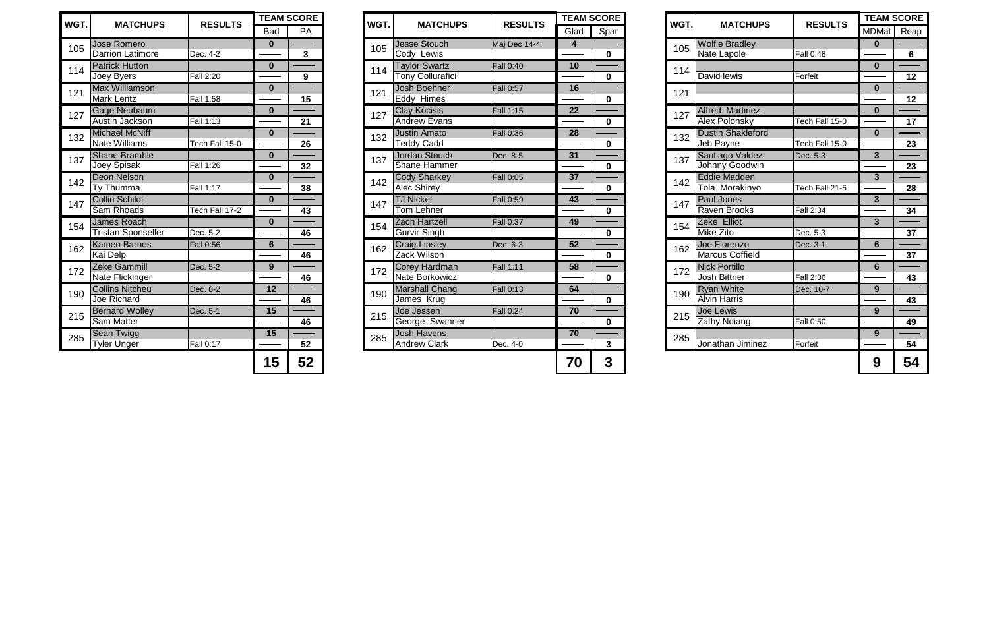| <b>RE</b>                                                                         | WGT. | <b>MATCHUPS</b>                             | <b>RESULTS</b> | <b>TEAM SCORE</b>       |                |
|-----------------------------------------------------------------------------------|------|---------------------------------------------|----------------|-------------------------|----------------|
| par                                                                               |      |                                             |                | <b>MDMat</b>            | Reap           |
|                                                                                   | 105  | <b>Wolfie Bradley</b>                       |                | $\bf{0}$                |                |
| $\begin{array}{c} \hline \textbf{0} \\ \hline \end{array}$                        |      | <b>Nate Lapole</b>                          | Fall $0:48$    |                         | $6\phantom{1}$ |
|                                                                                   | 114  |                                             |                | $\bf{0}$                |                |
| $\begin{array}{c} \hline \textbf{O} \\ \hline \end{array}$                        |      | David lewis                                 | Forfeit        |                         | 12             |
|                                                                                   | 121  |                                             |                | $\bf{0}$                |                |
| $\begin{array}{c} \n \hline\n 0\n \end{array}$                                    |      |                                             |                |                         | 12             |
|                                                                                   | 127  | <b>Alfred Martinez</b>                      |                | $\mathbf 0$             |                |
| $\begin{array}{c} \n 0 \\ \n \end{array}$                                         |      | Alex Polonsky                               | Tech Fall 15-0 |                         | 17             |
|                                                                                   | 132  | <b>Dustin Shakleford</b>                    |                | $\boldsymbol{0}$        |                |
| $\overline{\mathbf{0}}$                                                           |      | Jeb Payne                                   | Tech Fall 15-0 |                         | 23             |
|                                                                                   | 137  | Santiago Valdez                             | Dec. 5-3       | $\overline{\mathbf{3}}$ |                |
| $\frac{0}{\sqrt{2}}$                                                              |      | Johnny Goodwin                              |                |                         | 23             |
|                                                                                   | 142  | <b>Eddie Madden</b>                         |                | $\mathbf{3}$            |                |
| $\frac{0}{\sqrt{2}}$                                                              |      | Tola Morakinyo                              | Tech Fall 21-5 |                         | 28             |
|                                                                                   | 147  | <b>Paul Jones</b>                           |                | $\overline{3}$          |                |
| $\frac{0}{\sqrt{2}}$                                                              |      | <b>Raven Brooks</b>                         | Fall 2:34      |                         | 34             |
|                                                                                   | 154  | Zeke Elliot                                 |                | $\mathbf{3}$            |                |
| $\begin{array}{c}\n\hline\n0\n\end{array}$                                        |      | <b>Mike Zito</b>                            | Dec. 5-3       |                         | 37             |
|                                                                                   | 162  | Joe Florenzo                                | Dec. 3-1       | $6\phantom{1}$          |                |
| $\frac{1}{\sqrt{1-\frac{1}{2}}}\left( \frac{1}{\sqrt{1-\frac{1}{2}}}\right)$      |      | <b>Marcus Coffield</b>                      |                |                         | 37             |
|                                                                                   | 172  | <b>Nick Portillo</b><br><b>Josh Bittner</b> |                | $6\phantom{1}$          |                |
| $\frac{1}{\sqrt{2}}$                                                              |      |                                             | Fall 2:36      |                         | 43             |
|                                                                                   | 190  | <b>Ryan White</b><br><b>Alvin Harris</b>    | Dec. 10-7      | 9                       | 43             |
| $\begin{array}{c} \hline \mathbf{0} \\ \hline \end{array}$                        |      |                                             |                |                         |                |
|                                                                                   | 215  | Joe Lewis<br><b>Zathy Ndiang</b>            | Fall 0:50      | 9                       | 49             |
| $\frac{0}{\sqrt{1-\frac{1}{2}}}\left( \frac{1}{2},\frac{1}{2},\frac{1}{2}\right)$ |      |                                             |                |                         |                |
|                                                                                   | 285  | Jonathan Jiminez                            | Forfeit        | 9                       | 54             |
| $\overline{\mathbf{3}}$                                                           |      |                                             |                |                         |                |
| 3                                                                                 |      |                                             |                | 9                       | 54             |

|                          | <b>AM SCORE</b> | WGT. | <b>MATCHU</b>                                 |
|--------------------------|-----------------|------|-----------------------------------------------|
| lad                      | Spar            |      |                                               |
| 4                        |                 | 105  | <b>Wolfie Bradley</b>                         |
|                          | 0               |      | Nate Lapole                                   |
| 10                       |                 | 114  |                                               |
|                          | 0               |      | David lewis                                   |
| 16                       |                 | 121  |                                               |
|                          | 0               |      |                                               |
| $\overline{22}$          | 0               | 127  | <b>Alfred Martine</b><br><b>Alex Polonsky</b> |
| $\overline{28}$          | 0               | 132  | <b>Dustin Shaklef</b><br>Jeb Payne            |
| $\overline{\mathbf{31}}$ | 0               | 137  | Santiago Valde<br>Johnny Goodw                |
| $\overline{\mathbf{37}}$ | 0               | 142  | <b>Eddie Madden</b><br>Tola Morakiny          |
| $\overline{13}$          | 0               | 147  | Paul Jones<br>Raven Brooks                    |
| $\overline{19}$          | 0               | 154  | Zeke Elliot<br>Mike Zito                      |
| $\overline{52}$          | 0               | 162  | Joe Florenzo<br><b>Marcus Coffiel</b>         |
| $\overline{\mathbf{58}}$ | 0               | 172  | <b>Nick Portillo</b><br>Josh Bittner          |
| $\overline{54}$          | 0               | 190  | <b>Ryan White</b><br><b>Alvin Harris</b>      |
| 70                       | $\mathbf 0$     | 215  | <b>Joe Lewis</b><br><b>Zathy Ndiang</b>       |
| 70                       | c               | 285  | Ionathan limir                                |

| WGT. | <b>MATCHUPS</b>           | <b>RESULTS</b> |                | <b>TEAM SCORE</b> | WGT. | <b>MATCHUPS</b>         | <b>RESULTS</b>   | <b>TEAI</b>     |
|------|---------------------------|----------------|----------------|-------------------|------|-------------------------|------------------|-----------------|
|      |                           |                | <b>Bad</b>     | PA                |      |                         |                  | Glac            |
| 105  | <b>Jose Romero</b>        |                | $\mathbf 0$    |                   | 105  | <b>Jesse Stouch</b>     | Maj Dec 14-4     | $\overline{4}$  |
|      | <b>Darrion Latimore</b>   | Dec. 4-2       |                | $\mathbf{3}$      |      | Cody Lewis              |                  |                 |
| 114  | <b>Patrick Hutton</b>     |                | $\bf{0}$       |                   | 114  | <b>Taylor Swartz</b>    | Fall 0:40        | 10              |
|      | Joey Byers                | Fall 2:20      |                | 9                 |      | <b>Tony Collurafici</b> |                  |                 |
| 121  | <b>Max Williamson</b>     |                | $\bf{0}$       |                   | 121  | <b>Josh Boehner</b>     | <b>Fall 0:57</b> | 16              |
|      | Mark Lentz                | Fall 1:58      |                | 15                |      | Eddy Himes              |                  |                 |
| 127  | Gage Neubaum              |                | $\mathbf 0$    |                   | 127  | <b>Clay Kocisis</b>     | Fall 1:15        | 22              |
|      | Austin Jackson            | Fall 1:13      |                | 21                |      | <b>Andrew Evans</b>     |                  |                 |
| 132  | <b>Michael McNiff</b>     |                | $\mathbf 0$    |                   | 132  | <b>Justin Amato</b>     | Fall 0:36        | $\overline{28}$ |
|      | <b>Nate Williams</b>      | Tech Fall 15-0 |                | 26                |      | <b>Teddy Cadd</b>       |                  |                 |
| 137  | <b>Shane Bramble</b>      |                | $\mathbf 0$    |                   | 137  | Jordan Stouch           | Dec. 8-5         | 31              |
|      | Joey Spisak               | Fall 1:26      |                | 32                |      | <b>Shane Hammer</b>     |                  |                 |
| 142  | <b>Deon Nelson</b>        |                | $\bf{0}$       |                   | 142  | <b>Cody Sharkey</b>     | Fall 0:05        | 37              |
|      | Ty Thumma                 | Fall 1:17      |                | 38                |      | <b>Alec Shirey</b>      |                  |                 |
| 147  | <b>Collin Schildt</b>     |                | $\mathbf 0$    |                   | 147  | <b>TJ Nickel</b>        | Fall 0:59        | 43              |
|      | Sam Rhoads                | Tech Fall 17-2 |                | 43                |      | Tom Lehner              |                  |                 |
| 154  | <b>James Roach</b>        |                | $\bf{0}$       |                   | 154  | <b>Zach Hartzell</b>    | <b>Fall 0:37</b> | 49              |
|      | <b>Tristan Sponseller</b> | Dec. 5-2       |                | 46                |      | <b>Gurvir Singh</b>     |                  |                 |
| 162  | <b>Kamen Barnes</b>       | Fall 0:56      | $6\phantom{1}$ |                   | 162  | <b>Craig Linsley</b>    | Dec. 6-3         | 52              |
|      | Kai Delp                  |                |                | 46                |      | Zack Wilson             |                  |                 |
| 172  | Zeke Gammill              | Dec. 5-2       | $\overline{9}$ |                   | 172  | <b>Corey Hardman</b>    | <b>Fall 1:11</b> | $\overline{58}$ |
|      | Nate Flickinger           |                |                | 46                |      | <b>Nate Borkowicz</b>   |                  |                 |
| 190  | <b>Collins Nitcheu</b>    | Dec. 8-2       | 12             |                   | 190  | <b>Marshall Chang</b>   | Fall 0:13        | 64              |
|      | <b>Joe Richard</b>        |                |                | 46                |      | James Krug              |                  |                 |
| 215  | <b>Bernard Wolley</b>     | Dec. 5-1       | 15             |                   | 215  | Joe Jessen              | Fall 0:24        | 70              |
|      | <b>Sam Matter</b>         |                |                | 46                |      | George Swanner          |                  |                 |
| 285  | Sean Twigg                |                | 15             |                   | 285  | <b>Josh Havens</b>      |                  | $\overline{70}$ |
|      | <b>Tyler Unger</b>        | Fall 0:17      |                | 52                |      | <b>Andrew Clark</b>     | Dec. 4-0         |                 |
|      |                           |                | 15             | 52                |      |                         |                  | 70              |
|      |                           |                |                |                   |      |                         |                  |                 |

| VGT.            |                           | <b>RESULTS</b>   |            | <b>TEAM SCORE</b> | WGT. | <b>MATCHUPS</b>       | <b>RESULTS</b>   |      | <b>TEAM SCORE</b> | WGT. |                          |                  | <b>TEAM SCORE</b> |                 |
|-----------------|---------------------------|------------------|------------|-------------------|------|-----------------------|------------------|------|-------------------|------|--------------------------|------------------|-------------------|-----------------|
|                 | <b>MATCHUPS</b>           |                  | <b>Bad</b> | PA                |      |                       |                  | Glad | Spar              |      | <b>MATCHUPS</b>          | <b>RESULTS</b>   | MDMat Reap        |                 |
| 105             | Jose Romero               |                  |            |                   | 105  | <b>Jesse Stouch</b>   | Maj Dec 14-4     | 4    |                   | 105  | <b>Wolfie Bradley</b>    |                  | 0                 |                 |
|                 | <b>Darrion Latimore</b>   | Dec. 4-2         |            | $\mathbf{3}$      |      | Cody Lewis            |                  |      | $\mathbf 0$       |      | Nate Lapole              | <b>Fall 0:48</b> |                   | $6\overline{6}$ |
| 114             | <b>Patrick Hutton</b>     |                  | $\Omega$   |                   | 114  | <b>Taylor Swartz</b>  | <b>Fall 0:40</b> | 10   |                   | 114  |                          |                  | $\mathbf{0}$      |                 |
|                 | Joey Byers                | Fall 2:20        |            | 9                 |      | Tony Collurafici      |                  |      | $\mathbf{0}$      |      | David lewis              | Forfeit          |                   | 12              |
| 12 <sup>1</sup> | <b>Max Williamson</b>     |                  | $\bf{0}$   |                   | 121  | <b>Josh Boehner</b>   | <b>Fall 0:57</b> | 16   |                   | 121  |                          |                  | $\bf{0}$          |                 |
|                 | <b>Mark Lentz</b>         | Fall 1:58        |            | 15                |      | Eddy Himes            |                  |      | $\mathbf 0$       |      |                          |                  |                   | 12              |
| 127             | Gage Neubaum              |                  | $\Omega$   |                   | 127  | <b>Clay Kocisis</b>   | <b>Fall 1:15</b> | 22   |                   | 127  | <b>Alfred Martinez</b>   |                  | $\mathbf{0}$      |                 |
|                 | Austin Jackson            | Fall 1:13        |            | 21                |      | <b>Andrew Evans</b>   |                  |      | $\mathbf 0$       |      | <b>Alex Polonsky</b>     | Tech Fall 15-0   |                   | 17              |
| 132             | <b>Michael McNiff</b>     |                  | $\Omega$   |                   | 132  | Justin Amato          | <b>Fall 0:36</b> | 28   |                   | 132  | <b>Dustin Shakleford</b> |                  | $\mathbf{0}$      |                 |
|                 | <b>Nate Williams</b>      | Tech Fall 15-0   |            | 26                |      | <b>Teddy Cadd</b>     |                  |      | $\mathbf{0}$      |      | Jeb Payne                | Tech Fall 15-0   |                   | 23              |
| 137             | <b>Shane Bramble</b>      |                  | $\bf{0}$   |                   | 137  | Jordan Stouch         | Dec. 8-5         | 31   |                   | 137  | Santiago Valdez          | Dec. 5-3         | 3 <sup>1</sup>    |                 |
|                 | Joey Spisak               | Fall 1:26        |            | 32                |      | <b>Shane Hammer</b>   |                  |      | $\mathbf 0$       |      | Johnny Goodwin           |                  |                   | 23              |
| 142             | Deon Nelson               |                  | $\Omega$   |                   | 142  | <b>Cody Sharkey</b>   | <b>Fall 0:05</b> | 37   |                   | 142  | Eddie Madden             |                  | $\mathbf{3}$      |                 |
|                 | Ty Thumma                 | Fall 1:17        |            | 38                |      | <b>Alec Shirey</b>    |                  |      | $\mathbf{0}$      |      | Tola Morakinyo           | Tech Fall 21-5   |                   | 28              |
| 147             | <b>Collin Schildt</b>     |                  | $\Omega$   |                   | 147  | <b>TJ Nickel</b>      | <b>Fall 0:59</b> | 43   |                   | 147  | <b>Paul Jones</b>        |                  | 3 <sup>1</sup>    |                 |
|                 | <b>Sam Rhoads</b>         | Tech Fall 17-2   |            | 43                |      | Tom Lehner            |                  |      | $\mathbf{0}$      |      | <b>Raven Brooks</b>      | Fall 2:34        |                   | 34              |
| 154             | James Roach               |                  | $\Omega$   |                   | 154  | Zach Hartzell         | <b>Fall 0:37</b> | 49   |                   | 154  | Zeke Elliot              |                  | 3 <sup>1</sup>    |                 |
|                 | <b>Tristan Sponseller</b> | Dec. 5-2         |            | 46                |      | <b>Gurvir Singh</b>   |                  |      | $\mathbf{0}$      |      | <b>Mike Zito</b>         | Dec. 5-3         |                   | 37              |
| 162             | <b>Kamen Barnes</b>       | <b>Fall 0:56</b> | 6          |                   | 162  | <b>Craig Linsley</b>  | Dec. 6-3         | 52   |                   | 162  | Joe Florenzo             | Dec. 3-1         | 6                 |                 |
|                 | <b>Kai Delp</b>           |                  |            | 46                |      | Zack Wilson           |                  |      | $\mathbf{0}$      |      | <b>Marcus Coffield</b>   |                  |                   | 37              |
| 172             | <b>Zeke Gammill</b>       | Dec. 5-2         | 9          |                   | 172  | Corey Hardman         | <b>Fall 1:11</b> | 58   |                   | 172  | <b>Nick Portillo</b>     |                  | 6                 |                 |
|                 | Nate Flickinger           |                  |            | 46                |      | Nate Borkowicz        |                  |      | $\mathbf{0}$      |      | <b>Josh Bittner</b>      | Fall 2:36        |                   | 43              |
| 190             | <b>Collins Nitcheu</b>    | Dec. 8-2         | 12         |                   | 190  | <b>Marshall Chang</b> | <b>Fall 0:13</b> | 64   |                   | 190  | <b>Ryan White</b>        | Dec. 10-7        | 9                 |                 |
|                 | Joe Richard               |                  |            | 46                |      | James Krug            |                  |      | $\mathbf{0}$      |      | <b>Alvin Harris</b>      |                  |                   | 43              |
| 215             | <b>Bernard Wolley</b>     | Dec. 5-1         | 15         |                   | 215  | Joe Jessen            | <b>Fall 0:24</b> | 70   |                   | 215  | Joe Lewis                |                  | 9                 |                 |
|                 | <b>Sam Matter</b>         |                  |            | 46                |      | George Swanner        |                  |      | $\mathbf 0$       |      | <b>Zathy Ndiang</b>      | Fall 0:50        |                   | 49              |
| 285             | <b>Sean Twigg</b>         |                  | 15         |                   | 285  | <b>Josh Havens</b>    |                  | 70   |                   | 285  |                          |                  | 9                 |                 |
|                 | <b>Tyler Unger</b>        | Fall 0:17        |            | 52                |      | <b>Andrew Clark</b>   | Dec. 4-0         |      | $\mathbf{3}$      |      | Jonathan Jiminez         | Forfeit          |                   | 54              |
|                 |                           |                  | 15         | 52                |      |                       |                  | 70   | $\mathbf 3$       |      |                          |                  | 9                 | 54              |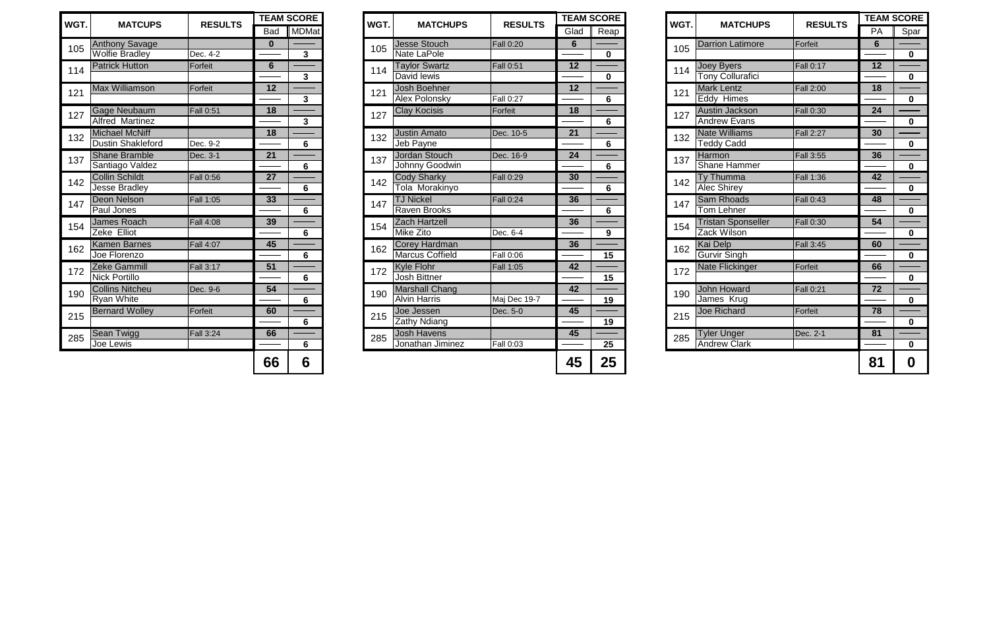|                          | <b>AM SCORE</b>  |            | WGT.   | <b>MATCHUPS</b>                           | <b>RESULTS</b>   | <b>TEAM SCORE</b> |              |
|--------------------------|------------------|------------|--------|-------------------------------------------|------------------|-------------------|--------------|
| lad                      | Reap             |            |        |                                           |                  | PA                | Spar         |
| $\frac{6}{1}$            |                  |            | 105    | <b>Darrion Latimore</b>                   | Forfeit          | $\overline{6}$    |              |
|                          | $\mathbf 0$      |            |        |                                           |                  |                   | $\mathbf 0$  |
| $\overline{12}$          |                  |            | 114    | Joey Byers                                | <b>Fall 0:17</b> | 12                |              |
|                          | $\bf{0}$         |            |        | <b>Tony Collurafici</b>                   |                  |                   | 0            |
| $\overline{2}$           |                  |            | 121    | <b>Mark Lentz</b>                         | Fall 2:00        | 18                |              |
|                          | $6\phantom{1}$   |            |        | Eddy Himes                                |                  |                   | $\mathbf 0$  |
| $\overline{\mathbf{18}}$ |                  |            | 127    | Austin Jackson                            | Fall 0:30        | 24                |              |
|                          | 6                |            |        | <b>Andrew Evans</b>                       |                  |                   | 0            |
| $\overline{21}$          |                  |            |        | <b>Nate Williams</b>                      | <b>Fall 2:27</b> | 30                |              |
|                          | 6                |            |        | <b>Teddy Cadd</b>                         |                  |                   | $\mathbf 0$  |
| $\overline{24}$          |                  | 137<br>142 | Harmon | Fall 3:55                                 | 36               |                   |              |
|                          | $6\phantom{1}$   | 132<br>147 |        | <b>Shane Hammer</b>                       |                  |                   | $\pmb{0}$    |
| $\overline{\textbf{30}}$ |                  |            |        | <b>Ty Thumma</b>                          | Fall 1:36        | 42                |              |
|                          | 6                |            |        | <b>Alec Shirey</b>                        |                  |                   | $\mathbf{0}$ |
| 36                       |                  |            |        | <b>Sam Rhoads</b>                         | <b>Fall 0:43</b> | 48                |              |
|                          | 6                |            |        | <b>Tom Lehner</b>                         |                  |                   | $\mathbf 0$  |
| $\overline{\mathbf{36}}$ |                  |            | 154    | <b>Tristan Sponseller</b>                 | Fall 0:30        | 54                |              |
|                          | $\boldsymbol{9}$ |            |        | <b>Zack Wilson</b>                        |                  |                   | $\mathbf 0$  |
| $\overline{\mathbf{36}}$ |                  |            | 162    | Kai Delp                                  | Fall 3:45        | 60                |              |
|                          | 15               |            |        | <b>Gurvir Singh</b>                       |                  |                   | $\mathbf 0$  |
| $\overline{12}$          |                  |            | 172    | <b>Nate Flickinger</b>                    | Forfeit          | 66                |              |
|                          | 15               |            |        |                                           |                  |                   | 0            |
| $\overline{12}$          |                  |            |        | John Howard<br>James Krug                 | <b>Fall 0:21</b> | 72                |              |
|                          | 19               | 190<br>215 |        |                                           |                  | $\mathbf 0$       |              |
| $\overline{15}$          |                  |            |        | <b>Joe Richard</b>                        | Forfeit          | 78                |              |
|                          | 19               |            |        |                                           |                  |                   | $\mathbf 0$  |
| $\overline{45}$          |                  |            | 285    | <b>Tyler Unger</b><br><b>Andrew Clark</b> | Dec. 2-1         | 81                |              |
|                          | <b>25</b>        |            |        |                                           |                  |                   | $\mathbf 0$  |
| <b>15</b>                | 25               |            |        |                                           |                  | 81                | 0            |

| <b>MATCUPS</b>           | <b>RESULTS</b>   |            | <b>TEAM SCORE</b> | WGT. | <b>MATCHUPS</b>        | <b>RESULTS</b>   |                 | <b>TEAM SCORE</b> | WGT. | <b>MATCHUPS</b>           | <b>RESULTS</b>   | <b>TEAM SCORE</b> |             |
|--------------------------|------------------|------------|-------------------|------|------------------------|------------------|-----------------|-------------------|------|---------------------------|------------------|-------------------|-------------|
|                          |                  | <b>Bad</b> | MDMat             |      |                        |                  | Glad            | Reap              |      |                           |                  | PA                | Spar        |
| <b>Anthony Savage</b>    |                  | 0          |                   | 105  | Jesse Stouch           | <b>Fall 0:20</b> | $6\phantom{1}6$ |                   | 105  | Darrion Latimore          | Forfeit          | 6                 |             |
| Wolfie Bradley           | Dec. 4-2         |            | $\mathbf{3}$      |      | <b>Nate LaPole</b>     |                  |                 | $\mathbf{0}$      |      |                           |                  |                   | $\mathbf 0$ |
| <b>Patrick Hutton</b>    | Forfeit          | 6          |                   | 114  | <b>Taylor Swartz</b>   | <b>Fall 0:51</b> | 12              |                   | 114  | Joey Byers                | Fall 0:17        | 12                |             |
|                          |                  |            | $3\phantom{a}$    |      | David lewis            |                  |                 | $\mathbf 0$       |      | Tony Collurafici          |                  |                   | $\mathbf 0$ |
| <b>Max Williamson</b>    | Forfeit          | 12         |                   | 121  | Josh Boehner           |                  | 12              |                   | 121  | Mark Lentz                | <b>Fall 2:00</b> | 18                |             |
|                          |                  |            | 3 <sup>1</sup>    |      | <b>Alex Polonsky</b>   | <b>Fall 0:27</b> |                 | $6\phantom{1}$    |      | Eddy Himes                |                  |                   | $\mathbf 0$ |
| Gage Neubaum             | <b>Fall 0:51</b> | 18         |                   | 127  | <b>Clay Kocisis</b>    | Forfeit          | 18              |                   | 127  | Austin Jackson            | <b>Fall 0:30</b> | 24                |             |
| <b>Alfred Martinez</b>   |                  |            | 3 <sup>1</sup>    |      |                        |                  |                 | 6                 |      | <b>Andrew Evans</b>       |                  |                   | $\mathbf 0$ |
| <b>Michael McNiff</b>    |                  | 18         |                   | 132  | <b>Justin Amato</b>    | Dec. 10-5        | 21              |                   | 132  | <b>Nate Williams</b>      | <b>Fall 2:27</b> | 30                |             |
| <b>Dustin Shakleford</b> | Dec. 9-2         |            | 6                 |      | Jeb Payne              |                  |                 | 6                 |      | <b>Teddy Cadd</b>         |                  |                   | $\mathbf 0$ |
| <b>Shane Bramble</b>     | Dec. 3-1         | 21         |                   | 137  | Jordan Stouch          | Dec. 16-9        | 24              |                   | 137  | Harmon                    | <b>Fall 3:55</b> | 36                |             |
| Santiago Valdez          |                  |            | 6                 |      | Johnny Goodwin         |                  |                 | $6\phantom{1}$    |      | <b>Shane Hammer</b>       |                  |                   | $\mathbf 0$ |
| <b>Collin Schildt</b>    | <b>Fall 0:56</b> | 27         |                   | 142  | <b>Cody Sharky</b>     | <b>Fall 0:29</b> | 30              |                   | 142  | <b>Ty Thumma</b>          | <b>Fall 1:36</b> | 42                |             |
| <b>Jesse Bradley</b>     |                  |            | 6                 |      | Tola Morakinyo         |                  |                 | 6                 |      | <b>Alec Shirey</b>        |                  |                   | $\mathbf 0$ |
| <b>Deon Nelson</b>       | <b>Fall 1:05</b> | 33         |                   | 147  | <b>TJ Nickel</b>       | <b>Fall 0:24</b> | 36              |                   | 147  | <b>Sam Rhoads</b>         | <b>Fall 0:43</b> | 48                |             |
| <b>Paul Jones</b>        |                  |            | 6                 |      | <b>Raven Brooks</b>    |                  |                 | $6\phantom{1}$    |      | <b>Tom Lehner</b>         |                  |                   | $\mathbf 0$ |
| <b>James Roach</b>       | <b>Fall 4:08</b> | 39         |                   | 154  | Zach Hartzell          |                  | 36              |                   | 154  | <b>Tristan Sponseller</b> | <b>Fall 0:30</b> | 54                |             |
| Zeke Elliot              |                  |            | 6                 |      | <b>Mike Zito</b>       | Dec. 6-4         |                 | 9                 |      | Zack Wilson               |                  |                   | $\mathbf 0$ |
| Kamen Barnes             | Fall 4:07        | 45         |                   | 162  | Corey Hardman          |                  | 36              |                   | 162  | Kai Delp                  | <b>Fall 3:45</b> | 60                |             |
| Joe Florenzo             |                  |            | 6                 |      | <b>Marcus Coffield</b> | <b>Fall 0:06</b> |                 | 15                |      | <b>Gurvir Singh</b>       |                  |                   | $\mathbf 0$ |
| Zeke Gammill             | <b>Fall 3:17</b> | 51         |                   | 172  | <b>Kyle Flohr</b>      | <b>Fall 1:05</b> | 42              |                   | 172  | Nate Flickinger           | Forfeit          | 66                |             |
| Nick Portillo            |                  |            | $6\phantom{1}$    |      | <b>Josh Bittner</b>    |                  |                 | 15                |      |                           |                  |                   | $\mathbf 0$ |
| <b>Collins Nitcheu</b>   | Dec. 9-6         | 54         |                   | 190  | <b>Marshall Chang</b>  |                  | 42              |                   | 190  | John Howard               | Fall 0:21        | 72                |             |
| <b>Ryan White</b>        |                  |            | 6                 |      | <b>Alvin Harris</b>    | Maj Dec 19-7     |                 | 19                |      | James Krug                |                  |                   | $\mathbf 0$ |
| <b>Bernard Wolley</b>    | Forfeit          | 60         |                   | 215  | Joe Jessen             | Dec. 5-0         | 45              |                   | 215  | <b>Joe Richard</b>        | Forfeit          | 78                |             |
|                          |                  |            | $6\phantom{1}$    |      | <b>Zathy Ndiang</b>    |                  |                 | 19                |      |                           |                  |                   | $\mathbf 0$ |
| Sean Twigg               | <b>Fall 3:24</b> | 66         |                   | 285  | <b>Josh Havens</b>     |                  | 45              |                   | 285  | Tyler Unger               | Dec. 2-1         | 81                |             |
| Joe Lewis                |                  |            | 6                 |      | Jonathan Jiminez       | <b>Fall 0:03</b> |                 | 25                |      | <b>Andrew Clark</b>       |                  |                   | $\mathbf 0$ |
|                          |                  | 66         | 6                 |      |                        |                  | 45              | 25                |      |                           |                  | 81                | $\bf{0}$    |

| <b>RE</b>               | WGT. | <b>MATCHU</b>                                |
|-------------------------|------|----------------------------------------------|
| eap                     |      |                                              |
| 0                       | 105  | <b>Darrion Latimor</b>                       |
| $\overline{\mathbf{0}}$ | 114  | Joey Byers<br><b>Tony Collurafici</b>        |
| 6                       | 121  | <b>Mark Lentz</b><br>Eddy Himes              |
| $\overline{6}$          | 127  | <b>Austin Jackson</b><br><b>Andrew Evans</b> |
| $\overline{\mathbf{6}}$ | 132  | <b>Nate Williams</b><br><b>Teddy Cadd</b>    |
| $\overline{\mathbf{6}}$ | 137  | Harmon<br><b>Shane Hammer</b>                |
| $\overline{\mathbf{6}}$ | 142  | Ty Thumma<br><b>Alec Shirey</b>              |
| $\frac{6}{ }$           | 147  | <b>Sam Rhoads</b><br><b>Tom Lehner</b>       |
| 9                       | 154  | <b>Tristan Sponsel</b><br><b>Zack Wilson</b> |
| 15                      | 162  | Kai Delp<br><b>Gurvir Singh</b>              |
| 15                      | 172  | Nate Flickinger                              |
| 19                      | 190  | John Howard<br>James Krug                    |
| 19                      | 215  | <b>Joe Richard</b>                           |
| <b>)5</b>               | 285  | Tyler Unger<br>Andrew Clark                  |

| WGT. | <b>MATCUPS</b>                    | <b>RESULTS</b>   |                 | <b>TEAM SCORE</b>       | <b>WGT</b> |  |
|------|-----------------------------------|------------------|-----------------|-------------------------|------------|--|
|      |                                   |                  | Bad             | MDMat                   |            |  |
| 105  | <b>Anthony Savage</b>             |                  | $\bf{0}$        |                         | 105        |  |
|      | <b>Wolfie Bradley</b>             | Dec. 4-2         |                 | $\mathbf{3}$            |            |  |
| 114  | <b>Patrick Hutton</b>             | Forfeit          | 6               |                         | 114        |  |
|      |                                   |                  |                 | $\mathbf{3}$            |            |  |
| 121  | <b>Max Williamson</b>             | Forfeit          | 12              | $\overline{\mathbf{3}}$ | 121        |  |
|      | <b>Gage Neubaum</b>               | Fall 0:51        | 18              |                         |            |  |
| 127  | <b>Alfred Martinez</b>            |                  |                 | 3                       | 127        |  |
|      | <b>Michael McNiff</b>             |                  | 18              |                         |            |  |
| 132  | Dustin Shakleford                 | Dec. 9-2         |                 | 6                       | 132        |  |
| 137  | <b>Shane Bramble</b>              | Dec. 3-1         | 21              |                         | 137        |  |
|      | Santiago Valdez                   |                  |                 | 6                       |            |  |
| 142  | <b>Collin Schildt</b>             | <b>Fall 0:56</b> | $\overline{27}$ |                         | 142        |  |
|      | Jesse Bradley                     |                  |                 | 6                       |            |  |
| 147  | Deon Nelson                       | Fall 1:05        | 33              |                         | 147        |  |
|      | Paul Jones                        |                  |                 | 6                       |            |  |
| 154  | <b>James Roach</b><br>Zeke Elliot | Fall 4:08        | 39              | 6                       | 154        |  |
|      | <b>Kamen Barnes</b>               | Fall 4:07        | 45              |                         |            |  |
| 162  | Joe Florenzo                      |                  |                 | 6                       | 162        |  |
|      | Zeke Gammill                      | Fall 3:17        | 51              |                         |            |  |
| 172  | <b>Nick Portillo</b>              |                  |                 | 6                       | 172        |  |
| 190  | <b>Collins Nitcheu</b>            | Dec. 9-6         | 54              |                         | 190        |  |
|      | <b>Ryan White</b>                 |                  |                 | 6                       |            |  |
| 215  | <b>Bernard Wolley</b>             | Forfeit          | 60              |                         | 215        |  |
|      |                                   |                  |                 | 6                       |            |  |
| 285  | Sean Twigg                        | <b>Fall 3:24</b> | 66              |                         | 285        |  |
|      | Joe Lewis                         |                  |                 | 6                       |            |  |
|      |                                   |                  | 66              | 6                       |            |  |